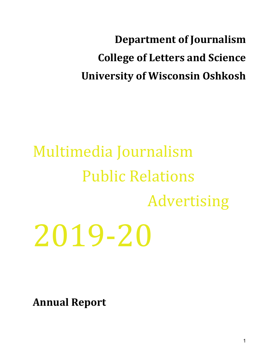**Department of Journalism College of Letters and Science University of Wisconsin Oshkosh** 

# Multimedia Journalism Public Relations Advertising 2019-20

**Annual Report**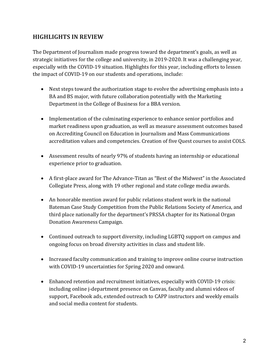## **HIGHLIGHTS IN REVIEW**

The Department of Journalism made progress toward the department's goals, as well as strategic initiatives for the college and university, in 2019-2020. It was a challenging year, especially with the COVID-19 situation. Highlights for this year, including efforts to lessen the impact of COVID-19 on our students and operations, include:

- Next steps toward the authorization stage to evolve the advertising emphasis into a BA and BS major, with future collaboration potentially with the Marketing Department in the College of Business for a BBA version.
- Implementation of the culminating experience to enhance senior portfolios and market readiness upon graduation, as well as measure assessment outcomes based on Accrediting Council on Education in Journalism and Mass Communications accreditation values and competencies. Creation of five Quest courses to assist COLS.
- Assessment results of nearly 97% of students having an internship or educational experience prior to graduation.
- A first-place award for The Advance-Titan as "Best of the Midwest" in the Associated Collegiate Press, along with 19 other regional and state college media awards.
- An honorable mention award for public relations student work in the national Bateman Case Study Competition from the Public Relations Society of America, and third place nationally for the department's PRSSA chapter for its National Organ Donation Awareness Campaign.
- Continued outreach to support diversity, including LGBTQ support on campus and ongoing focus on broad diversity activities in class and student life.
- Increased faculty communication and training to improve online course instruction with COVID-19 uncertainties for Spring 2020 and onward.
- Enhanced retention and recruitment initiatives, especially with COVID-19 crisis: including online j-department presence on Canvas, faculty and alumni videos of support, Facebook ads, extended outreach to CAPP instructors and weekly emails and social media content for students.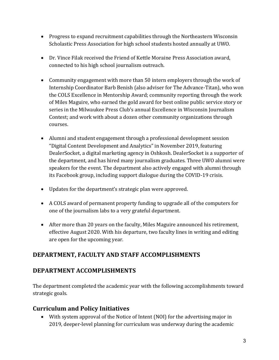- Progress to expand recruitment capabilities through the Northeastern Wisconsin Scholastic Press Association for high school students hosted annually at UWO.
- Dr. Vince Filak received the Friend of Kettle Moraine Press Association award, connected to his high school journalism outreach.
- Community engagement with more than 50 intern employers through the work of Internship Coordinator Barb Benish (also adviser for The Advance-Titan), who won the COLS Excellence in Mentorship Award; community reporting through the work of Miles Maguire, who earned the gold award for best online public service story or series in the Milwaukee Press Club's annual Excellence in Wisconsin Journalism Contest; and work with about a dozen other community organizations through courses.
- Alumni and student engagement through a professional development session "Digital Content Development and Analytics" in November 2019, featuring DealerSocket, a digital marketing agency in Oshkosh. DealerSocket is a supporter of the department, and has hired many journalism graduates. Three UWO alumni were speakers for the event. The department also actively engaged with alumni through its Facebook group, including support dialogue during the COVID-19 crisis.
- Updates for the department's strategic plan were approved.
- A COLS award of permanent property funding to upgrade all of the computers for one of the journalism labs to a very grateful department.
- After more than 20 years on the faculty, Miles Maguire announced his retirement, effective August 2020. With his departure, two faculty lines in writing and editing are open for the upcoming year.

# DEPARTMENT, FACULTY AND STAFF ACCOMPLISHMENTS

# **DEPARTMENT ACCOMPLISHMENTS**

The department completed the academic year with the following accomplishments toward strategic goals.

# **Curriculum and Policy Initiatives**

• With system approval of the Notice of Intent (NOI) for the advertising major in 2019, deeper-level planning for curriculum was underway during the academic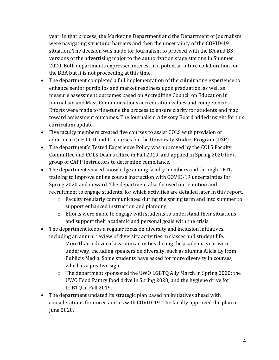year. In that process, the Marketing Department and the Department of Journalism were navigating structural barriers and then the uncertainty of the COVID-19 situation. The decision was made for Journalism to proceed with the BA and BS versions of the advertising major to the authorization stage starting in Summer 2020. Both departments expressed interest in a potential future collaboration for the BBA but it is not proceeding at this time.

- The department completed a full implementation of the culminating experience to enhance senior portfolios and market readiness upon graduation, as well as measure assessment outcomes based on Accrediting Council on Education in Journalism and Mass Communications accreditation values and competencies. Efforts were made to fine-tune the process to ensure clarity for students and map toward assessment outcomes. The Journalism Advisory Board added insight for this curriculum update.
- Five faculty members created five courses to assist COLS with provision of additional Quest I, II and III courses for the University Studies Program (USP).
- The department's Tested Experience Policy was approved by the COLS Faculty Committee and COLS Dean's Office in Fall 2019, and applied in Spring 2020 for a group of CAPP instructors to determine compliance.
- The department shared knowledge among faculty members and through CETL training to improve online course instruction with COVID-19 uncertainties for Spring 2020 and onward. The department also focused on retention and recruitment to engage students, for which activities are detailed later in this report.
	- $\circ$  Faculty regularly communicated during the spring term and into summer to support enhanced instruction and planning.
	- $\circ$  Efforts were made to engage with students to understand their situations and support their academic and personal goals with the crisis.
- The department keeps a regular focus on diversity and inclusion initiatives, including an annual review of diversity activities in classes and student life.
	- $\circ$  More than a dozen classroom activities during the academic year were underway, including speakers on diversity, such as alumna Alicia Ly from Publicis Media. Some students have asked for more diversity in courses, which is a positive sign.
	- $\circ$  The department sponsored the UWO LGBTQ Ally March in Spring 2020; the UWO Food Pantry food drive in Spring 2020; and the hygiene drive for LGBTO in Fall 2019.
- The department updated its strategic plan based on initiatives ahead with considerations for uncertainties with COVID-19. The faculty approved the plan in June 2020.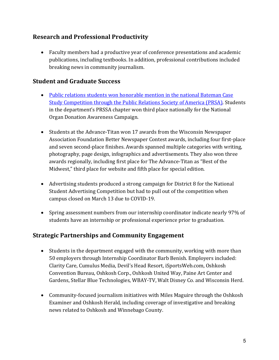# **Research and Professional Productivity**

• Faculty members had a productive year of conference presentations and academic publications, including textbooks. In addition, professional contributions included breaking news in community journalism.

## **Student and Graduate Success**

- Public relations students won honorable mention in the national Bateman Case Study Competition through the Public Relations Society of America (PRSA). Students in the department's PRSSA chapter won third place nationally for the National Organ Donation Awareness Campaign.
- Students at the Advance-Titan won 17 awards from the Wisconsin Newspaper Association Foundation Better Newspaper Contest awards, including four first-place and seven second-place finishes. Awards spanned multiple categories with writing, photography, page design, infographics and advertisements. They also won three awards regionally, including first place for The Advance-Titan as "Best of the Midwest," third place for website and fifth place for special edition.
- Advertising students produced a strong campaign for District 8 for the National Student Advertising Competition but had to pull out of the competition when campus closed on March 13 due to COVID-19.
- Spring assessment numbers from our internship coordinator indicate nearly 97% of students have an internship or professional experience prior to graduation.

## **Strategic Partnerships and Community Engagement**

- Students in the department engaged with the community, working with more than 50 employers through Internship Coordinator Barb Benish. Employers included: Clarity Care, Cumulus Media, Devil's Head Resort, iSportsWeb.com, Oshkosh Convention Bureau, Oshkosh Corp., Oshkosh United Way, Paine Art Center and Gardens, Stellar Blue Technologies, WBAY-TV, Walt Disney Co. and Wisconsin Herd.
- Community-focused journalism initiatives with Miles Maguire through the Oshkosh Examiner and Oshkosh Herald, including coverage of investigative and breaking news related to Oshkosh and Winnebago County.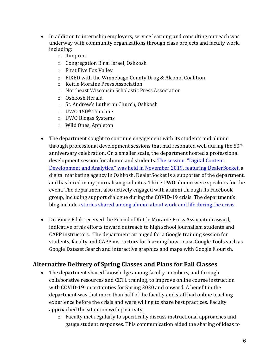- In addition to internship employers, service learning and consulting outreach was underway with community organizations through class projects and faculty work, including:
	- o 4imprint
	- $\circ$  Congregation B'nai Israel, Oshkosh
	- $\circ$  First Five Fox Valley
	- o FIXED with the Winnebago County Drug & Alcohol Coalition
	- o Kettle Moraine Press Association
	- o Northeast Wisconsin Scholastic Press Association
	- $\circ$  Oshkosh Herald
	- o St. Andrew's Lutheran Church, Oshkosh
	- $\circ$  UWO 150<sup>th</sup> Timeline
	- $\circ$  UWO Biogas Systems
	- o Wild Ones, Appleton
- The department sought to continue engagement with its students and alumni through professional development sessions that had resonated well during the  $50<sup>th</sup>$ anniversary celebration. On a smaller scale, the department hosted a professional development session for alumni and students. The session, "Digital Content Development and Analytics," was held in November 2019, featuring DealerSocket, a digital marketing agency in Oshkosh. DealerSocket is a supporter of the department, and has hired many journalism graduates. Three UWO alumni were speakers for the event. The department also actively engaged with alumni through its Facebook group, including support dialogue during the COVID-19 crisis. The department's blog includes stories shared among alumni about work and life during the crisis.
- Dr. Vince Filak received the Friend of Kettle Moraine Press Association award, indicative of his efforts toward outreach to high school journalism students and CAPP instructors. The department arranged for a Google training session for students, faculty and CAPP instructors for learning how to use Google Tools such as Google Dataset Search and interactive graphics and maps with Google Flourish.

# Alternative Delivery of Spring Classes and Plans for Fall Classes

- The department shared knowledge among faculty members, and through collaborative resources and CETL training, to improve online course instruction with COVID-19 uncertainties for Spring 2020 and onward. A benefit in the department was that more than half of the faculty and staff had online teaching experience before the crisis and were willing to share best practices. Faculty approached the situation with positivity.
	- $\circ$  Faculty met regularly to specifically discuss instructional approaches and gauge student responses. This communication aided the sharing of ideas to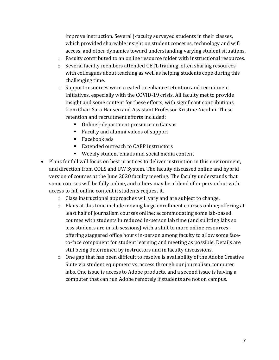improve instruction. Several j-faculty surveyed students in their classes, which provided shareable insight on student concerns, technology and wifi access, and other dynamics toward understanding varying student situations.

- o Faculty contributed to an online resource folder with instructional resources.
- $\circ$  Several faculty members attended CETL training, often sharing resources with colleagues about teaching as well as helping students cope during this challenging time.
- $\circ$  Support resources were created to enhance retention and recruitment initiatives, especially with the COVID-19 crisis. All faculty met to provide insight and some content for these efforts, with significant contributions from Chair Sara Hansen and Assistant Professor Kristine Nicolini. These retention and recruitment efforts included:
	- Online j-department presence on Canvas
	- Faculty and alumni videos of support
	- Facebook ads
	- Extended outreach to CAPP instructors
	- Weekly student emails and social media content
- Plans for fall will focus on best practices to deliver instruction in this environment, and direction from COLS and UW System. The faculty discussed online and hybrid version of courses at the June 2020 faculty meeting. The faculty understands that some courses will be fully online, and others may be a blend of in-person but with access to full online content if students request it.
	- $\circ$  Class instructional approaches will vary and are subject to change.
	- $\circ$  Plans at this time include moving large enrollment courses online; offering at least half of journalism courses online; accommodating some lab-based courses with students in reduced in-person lab time (and splitting labs so less students are in lab sessions) with a shift to more online resources; offering staggered office hours in-person among faculty to allow some faceto-face component for student learning and meeting as possible. Details are still being determined by instructors and in faculty discussions.
	- $\circ$  One gap that has been difficult to resolve is availability of the Adobe Creative Suite via student equipment vs. access through our journalism computer labs. One issue is access to Adobe products, and a second issue is having a computer that can run Adobe remotely if students are not on campus.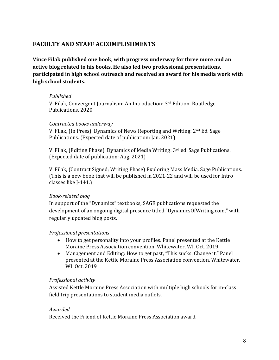## **FACULTY AND STAFF ACCOMPLISHMENTS**

**Vince Filak published one book, with progress underway for three more and an** active blog related to his books. He also led two professional presentations, **participated in high school outreach and received an award for his media work with high school students.**

## *Published*

V. Filak, Convergent Journalism: An Introduction: 3<sup>rd</sup> Edition. Routledge Publications. 2020

## *Contracted books underway*

V. Filak, (In Press). Dynamics of News Reporting and Writing:  $2<sup>nd</sup> Ed. Sage$ Publications. (Expected date of publication: Jan. 2021)

V. Filak, (Editing Phase). Dynamics of Media Writing:  $3<sup>rd</sup>$  ed. Sage Publications. (Expected date of publication: Aug. 2021)

V. Filak, (Contract Signed; Writing Phase) Exploring Mass Media. Sage Publications. (This is a new book that will be published in  $2021-22$  and will be used for Intro classes like J-141.)

## *Book-related blog*

In support of the "Dynamics" textbooks, SAGE publications requested the development of an ongoing digital presence titled "DynamicsOfWriting.com," with regularly updated blog posts.

## *Professional presentations*

- How to get personality into your profiles. Panel presented at the Kettle Moraine Press Association convention, Whitewater, WI. Oct. 2019
- Management and Editing: How to get past, "This sucks. Change it." Panel presented at the Kettle Moraine Press Association convention, Whitewater, WI. Oct. 2019

## *Professional activity*

Assisted Kettle Moraine Press Association with multiple high schools for in-class field trip presentations to student media outlets.

## *Awarded*

Received the Friend of Kettle Moraine Press Association award.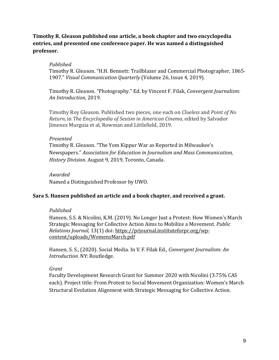## **Timothy R. Gleason published one article, a book chapter and two encyclopedia** entries, and presented one conference paper. He was named a distinguished **professor.**

## *Published*

Timothy R. Gleason. "H.H. Bennett: Trailblazer and Commercial Photographer, 1865-1907." *Visual Communication Quarterly* (Volume 26, Issue 4, 2019).

Timothy R. Gleason. "Photography." Ed. by Vincent F. Filak, *Convergent Journalism: An Introduction*, 2019.

Timothy Roy Gleason. Published two pieces, one each on *Clueless* and *Point of No Return*, in *The Encyclopedia of Sexism in American Cinema*, edited by Salvador Jimenez Murguia et al, Rowman and Littlefield, 2019.

## *Presented*

Timothy R. Gleason. "The Yom Kippur War as Reported in Milwaukee's Newspapers." *Association for Education in Journalism and Mass Communication, History Division*. August 9, 2019, Toronto, Canada.

*Awarded* Named a Distinguished Professor by UWO.

## **Sara S. Hansen published an article and a book chapter, and received a grant.**

## *Published*

Hansen, S.S. & Nicolini, K.M. (2019). No Longer Just a Protest: How Women's March Strategic Messaging for Collective Action Aims to Mobilize a Movement. *Public Relations Journal,* 13(1) doi: https://prjournal.instituteforpr.org/wpcontent/uploads/WomensMarch.pdf

Hansen, S. S., (2020). Social Media. In V. F. Filak Ed., *Convergent Journalism: An* **Introduction. NY: Routledge.** 

## *Grant*

Faculty Development Research Grant for Summer 2020 with Nicolini (3.75% CAS each). Project title: From Protest to Social Movement Organization: Women's March Structural Evolution Alignment with Strategic Messaging for Collective Action.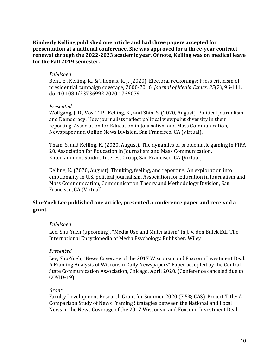## Kimberly Kelling published one article and had three papers accepted for **presentation at a national conference. She was approved for a three-year contract** renewal through the 2022-2023 academic vear. Of note, Kelling was on medical leave for the Fall 2019 semester.

#### *Published*

Bent, E., Kelling, K., & Thomas, R. J. (2020). Electoral reckonings: Press criticism of presidential campaign coverage, 2000-2016. *Journal of Media Ethics*, 35(2), 96-111. doi:10.1080/23736992.2020.1736079.

## *Presented*

Wolfgang, J. D., Vos, T. P., Kelling, K., and Shin, S. (2020, August). Political journalism and Democracy: How journalists reflect political viewpoint diversity in their reporting. Association for Education in Journalism and Mass Communication, Newspaper and Online News Division, San Francisco, CA (Virtual).

Tham, S. and Kelling, K. (2020, August). The dynamics of problematic gaming in FIFA 20. Association for Education in Journalism and Mass Communication, Entertainment Studies Interest Group, San Francisco, CA (Virtual).

Kelling, K. (2020, August). Thinking, feeling, and reporting: An exploration into emotionality in U.S. political journalism. Association for Education in Journalism and Mass Communication, Communication Theory and Methodology Division, San Francisco, CA (Virtual).

## Shu-Yueh Lee published one article, presented a conference paper and received a **grant.**

## *Published*

Lee, Shu-Yueh (upcoming), "Media Use and Materialism" In J. V. den Bulck Ed., The International Encyclopedia of Media Psychology. Publisher: Wiley

## *Presented*

Lee, Shu-Yueh, "News Coverage of the 2017 Wisconsin and Foxconn Investment Deal: A Framing Analysis of Wisconsin Daily Newspapers" Paper accepted by the Central State Communication Association, Chicago, April 2020. (Conference canceled due to COVID-19). 

#### *Grant*

Faculty Development Research Grant for Summer 2020 (7.5% CAS). Project Title: A Comparison Study of News Framing Strategies between the National and Local News in the News Coverage of the 2017 Wisconsin and Foxconn Investment Deal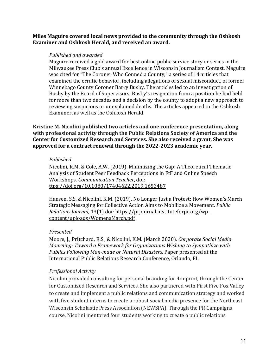## **Miles Maguire covered local news provided to the community through the Oshkosh Examiner and Oshkosh Herald, and received an award.**

#### *Published and awarded*

Maguire received a gold award for best online public service story or series in the Milwaukee Press Club's annual Excellence in Wisconsin Journalism Contest. Maguire was cited for "The Coroner Who Conned a County," a series of 14 articles that examined the erratic behavior, including allegations of sexual misconduct, of former Winnebago County Coroner Barry Busby. The articles led to an investigation of Busby by the Board of Supervisors, Busby's resignation from a position he had held for more than two decades and a decision by the county to adopt a new approach to reviewing suspicious or unexplained deaths. The articles appeared in the Oshkosh Examiner, as well as the Oshkosh Herald.

**Kristine M. Nicolini published two articles and one conference presentation, along** with professional activity through the Public Relations Society of America and the Center for Customized Research and Services. She also received a grant. She was approved for a contract renewal through the 2022-2023 academic year.

#### *Published*

Nicolini, K.M. & Cole, A.W. (2019). Minimizing the Gap: A Theoretical Thematic Analysis of Student Peer Feedback Perceptions in FtF and Online Speech Workshops. *Communication Teacher*, doi: ttps://doi.org/10.1080/17404622.2019.1653487

Hansen, S.S. & Nicolini, K.M. (2019). No Longer Just a Protest: How Women's March Strategic Messaging for Collective Action Aims to Mobilize a Movement. *Public Relations Journal,* 13(1) doi: https://prjournal.instituteforpr.org/wpcontent/uploads/WomensMarch.pdf

## *Presented*

Moore, J., Pritchard, R.S., & Nicolini, K.M. (March 2020). Corporate Social Media *Mourning: Toward a Framework for Organizations Wishing to Sympathize with* Publics Following Man-made or Natural Disasters. Paper presented at the International Public Relations Research Conference, Orlando, FL.

## *Professional Activity*

Nicolini provided consulting for personal branding for 4imprint, through the Center for Customized Research and Services. She also partnered with First Five Fox Valley to create and implement a public relations and communication strategy and worked with five student interns to create a robust social media presence for the Northeast Wisconsin Scholastic Press Association (NEWSPA). Through the PR Campaigns course, Nicolini mentored four students working to create a public relations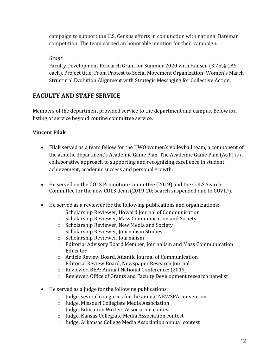campaign to support the U.S. Census efforts in conjunction with national Bateman competition. The team earned an honorable mention for their campaign.

## *Grant*

Faculty Development Research Grant for Summer 2020 with Hansen (3.75% CAS each). Project title: From Protest to Social Movement Organization: Women's March Structural Evolution Alignment with Strategic Messaging for Collective Action.

# **FACULTY AND STAFF SERVICE**

Members of the department provided service to the department and campus. Below is a listing of service beyond routine committee service.

## **Vincent Filak**

- Filak served as a team fellow for the UWO women's volleyball team, a component of the athletic department's Academic Game Plan. The Academic Game Plan (AGP) is a collaborative approach to supporting and recognizing excellence in student achievement, academic success and personal growth.
- He served on the COLS Promotion Committee (2019) and the COLS Search Committee for the new COLS dean (2019-20; search suspended due to COVID).
- He served as a reviewer for the following publications and organizations:
	- o Scholarship Reviewer, Howard Journal of Communication
	- o Scholarship Reviewer, Mass Communication and Society
	- o Scholarship Reviewer, New Media and Society
	- o Scholarship Reviewer, Journalism Studies
	- o Scholarship Reviewer, Journalism
	- $\circ$  Editorial Advisory Board Member, Journalism and Mass Communication Educator
	- o Article Review Board, Atlantic Journal of Communication
	- $\circ$  Editorial Review Board, Newspaper Research Journal
	- o Reviewer, BEA: Annual National Conference: (2019)
	- o Reviewer, Office of Grants and Faculty Development research panelist
- He served as a judge for the following publications:
	- $\circ$  Judge, several categories for the annual NEWSPA convention
	- $\circ$  Judge, Missouri Collegiate Media Association
	- o Judge, Education Writers Association contest
	- o Judge, Kansas Collegiate Media Association contest
	- o Judge, Arkansas College Media Association annual contest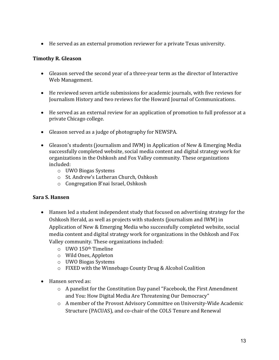• He served as an external promotion reviewer for a private Texas university.

## **Timothy R. Gleason**

- Gleason served the second year of a three-year term as the director of Interactive Web Management.
- He reviewed seven article submissions for academic journals, with five reviews for Journalism History and two reviews for the Howard Journal of Communications.
- He served as an external review for an application of promotion to full professor at a private Chicago college.
- Gleason served as a judge of photography for NEWSPA.
- Gleason's students (journalism and IWM) in Application of New & Emerging Media successfully completed website, social media content and digital strategy work for organizations in the Oshkosh and Fox Valley community. These organizations included:
	- o UWO Biogas Systems
	- o St. Andrew's Lutheran Church, Oshkosh
	- o Congregation B'nai Israel, Oshkosh

## **Sara S. Hansen**

- Hansen led a student independent study that focused on advertising strategy for the Oshkosh Herald, as well as projects with students (journalism and IWM) in Application of New & Emerging Media who successfully completed website, social media content and digital strategy work for organizations in the Oshkosh and Fox Valley community. These organizations included:
	- $\circ$  UWO 150<sup>th</sup> Timeline
	- o Wild Ones, Appleton
	- o UWO Biogas Systems
	- $\circ$  FIXED with the Winnebago County Drug & Alcohol Coalition
- Hansen served as:
	- $\circ$  A panelist for the Constitution Day panel "Facebook, the First Amendment and You: How Digital Media Are Threatening Our Democracy"
	- o A member of the Provost Advisory Committee on University-Wide Academic Structure (PACUAS), and co-chair of the COLS Tenure and Renewal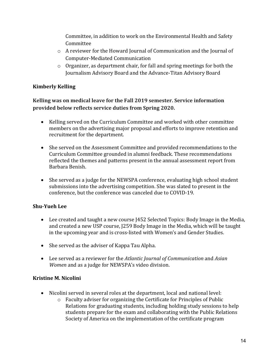Committee, in addition to work on the Environmental Health and Safety Committee

- $\circ$  A reviewer for the Howard Journal of Communication and the Journal of Computer-Mediated Communication
- $\circ$  Organizer, as department chair, for fall and spring meetings for both the Journalism Advisory Board and the Advance-Titan Advisory Board

## **Kimberly Kelling**

Kelling was on medical leave for the Fall 2019 semester. Service information **provided below reflects service duties from Spring 2020.** 

- Kelling served on the Curriculum Committee and worked with other committee members on the advertising major proposal and efforts to improve retention and recruitment for the department.
- She served on the Assessment Committee and provided recommendations to the Curriculum Committee grounded in alumni feedback. These recommendations reflected the themes and patterns present in the annual assessment report from Barbara Benish.
- She served as a judge for the NEWSPA conference, evaluating high school student submissions into the advertising competition. She was slated to present in the conference, but the conference was canceled due to COVID-19.

## **Shu-Yueh Lee**

- Lee created and taught a new course [452 Selected Topics: Body Image in the Media, and created a new USP course, [259 Body Image in the Media, which will be taught in the upcoming year and is cross-listed with Women's and Gender Studies.
- She served as the adviser of Kappa Tau Alpha.
- Lee served as a reviewer for the *Atlantic Journal of Communication* and *Asian Women* and as a judge for NEWSPA's video division.

## **Kristine M. Nicolini**

- Nicolini served in several roles at the department, local and national level:
	- $\circ$  Faculty adviser for organizing the Certificate for Principles of Public Relations for graduating students, including holding study sessions to help students prepare for the exam and collaborating with the Public Relations Society of America on the implementation of the certificate program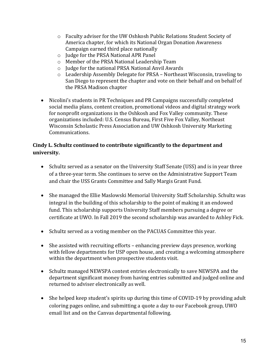- $\circ$  Faculty adviser for the UW Oshkosh Public Relations Student Society of America chapter, for which its National Organ Donation Awareness Campaign earned third place nationally
- $\circ$  Judge for the PRSA National APR Panel
- o Member of the PRSA National Leadership Team
- $\circ$  Judge for the national PRSA National Anvil Awards
- o Leadership Assembly Delegate for PRSA Northeast Wisconsin, traveling to San Diego to represent the chapter and vote on their behalf and on behalf of the PRSA Madison chapter
- Nicolini's students in PR Techniques and PR Campaigns successfully completed social media plans, content creation, promotional videos and digital strategy work for nonprofit organizations in the Oshkosh and Fox Valley community. These organizations included: U.S. Census Bureau, First Five Fox Valley, Northeast Wisconsin Scholastic Press Association and UW Oshkosh University Marketing Communications.

## Cindy L. Schultz continued to contribute significantly to the department and **university.**

- Schultz served as a senator on the University Staff Senate (USS) and is in year three of a three-year term. She continues to serve on the Administrative Support Team and chair the USS Grants Committee and Sally Margis Grant Fund.
- She managed the Ellie Maslowski Memorial University Staff Scholarship. Schultz was integral in the building of this scholarship to the point of making it an endowed fund. This scholarship supports University Staff members pursuing a degree or certificate at UWO. In Fall 2019 the second scholarship was awarded to Ashley Fick.
- Schultz served as a voting member on the PACUAS Committee this year.
- She assisted with recruiting efforts  $-$  enhancing preview days presence, working with fellow departments for USP open house, and creating a welcoming atmosphere within the department when prospective students visit.
- Schultz managed NEWSPA contest entries electronically to save NEWSPA and the department significant money from having entries submitted and judged online and returned to adviser electronically as well.
- She helped keep student's spirits up during this time of COVID-19 by providing adult coloring pages online, and submitting a quote a day to our Facebook group, UWO email list and on the Canvas departmental following.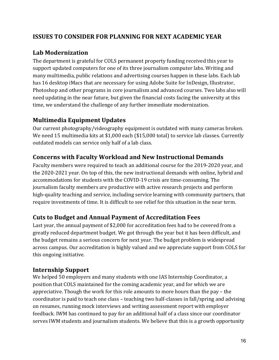# **ISSUES TO CONSIDER FOR PLANNING FOR NEXT ACADEMIC YEAR**

## **Lab Modernization**

The department is grateful for COLS permanent property funding received this year to support updated computers for one of its three journalism computer labs. Writing and many multimedia, public relations and advertising courses happen in these labs. Each lab has 16 desktop iMacs that are necessary for using Adobe Suite for InDesign, Illustrator, Photoshop and other programs in core journalism and advanced courses. Two labs also will need updating in the near future, but given the financial costs facing the university at this time, we understand the challenge of any further immediate modernization.

## **Multimedia Equipment Updates**

Our current photography/videography equipment is outdated with many cameras broken. We need 15 multimedia kits at \$1,000 each (\$15,000 total) to service lab classes. Currently outdated models can service only half of a lab class.

# **Concerns with Faculty Workload and New Instructional Demands**

Faculty members were required to teach an additional course for the 2019-2020 year, and the 2020-2021 year. On top of this, the new instructional demands with online, hybrid and accommodations for students with the COVID-19 crisis are time-consuming. The journalism faculty members are productive with active research projects and perform high-quality teaching and service, including service learning with community partners, that require investments of time. It is difficult to see relief for this situation in the near term.

## **Cuts to Budget and Annual Payment of Accreditation Fees**

Last year, the annual payment of \$2,000 for accreditation fees had to be covered from a greatly reduced department budget. We got through the year but it has been difficult, and the budget remains a serious concern for next year. The budget problem is widespread across campus. Our accreditation is highly valued and we appreciate support from COLS for this ongoing initiative.

## **Internship Support**

We helped 50 employers and many students with one IAS Internship Coordinator, a position that COLS maintained for the coming academic year, and for which we are appreciative. Though the work for this role amounts to more hours than the pay  $-$  the coordinator is paid to teach one class – teaching two half-classes in fall/spring and advising on resumes, running mock interviews and writing assessment report with employer feedback. IWM has continued to pay for an additional half of a class since our coordinator serves IWM students and journalism students. We believe that this is a growth opportunity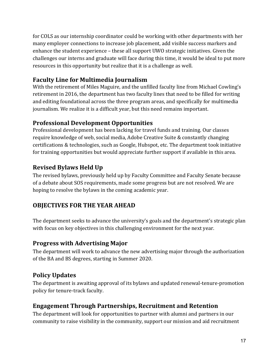for COLS as our internship coordinator could be working with other departments with her many employer connections to increase job placement, add visible success markers and enhance the student experience – these all support UWO strategic initiatives. Given the challenges our interns and graduate will face during this time, it would be ideal to put more resources in this opportunity but realize that it is a challenge as well.

# **Faculty Line for Multimedia Journalism**

With the retirement of Miles Maguire, and the unfilled faculty line from Michael Cowling's retirement in 2016, the department has two faculty lines that need to be filled for writing and editing foundational across the three program areas, and specifically for multimedia journalism. We realize it is a difficult year, but this need remains important.

# **Professional Development Opportunities**

Professional development has been lacking for travel funds and training. Our classes require knowledge of web, social media, Adobe Creative Suite & constantly changing certifications & technologies, such as Google, Hubspot, etc. The department took initiative for training opportunities but would appreciate further support if available in this area.

# **Revised Bylaws Held Up**

The revised bylaws, previously held up by Faculty Committee and Faculty Senate because of a debate about SOS requirements, made some progress but are not resolved. We are hoping to resolve the bylaws in the coming academic year.

# **OBJECTIVES FOR THE YEAR AHEAD**

The department seeks to advance the university's goals and the department's strategic plan with focus on key objectives in this challenging environment for the next year.

# **Progress with Advertising Major**

The department will work to advance the new advertising major through the authorization of the BA and BS degrees, starting in Summer 2020.

# **Policy Updates**

The department is awaiting approval of its bylaws and updated renewal-tenure-promotion policy for tenure-track faculty.

# **Engagement Through Partnerships, Recruitment and Retention**

The department will look for opportunities to partner with alumni and partners in our community to raise visibility in the community, support our mission and aid recruitment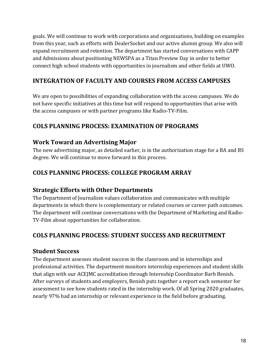goals. We will continue to work with corporations and organizations, building on examples from this year, such as efforts with DealerSocket and our active alumni group. We also will expand recruitment and retention. The department has started conversations with CAPP and Admissions about positioning NEWSPA as a Titan Preview Day in order to better connect high school students with opportunities in journalism and other fields at UWO.

# **INTEGRATION OF FACULTY AND COURSES FROM ACCESS CAMPUSES**

We are open to possibilities of expanding collaboration with the access campuses. We do not have specific initiatives at this time but will respond to opportunities that arise with the access campuses or with partner programs like Radio-TV-Film.

# **COLS PLANNING PROCESS: EXAMINATION OF PROGRAMS**

# **Work Toward an Advertising Major**

The new advertising major, as detailed earlier, is in the authorization stage for a BA and BS degree. We will continue to move forward in this process.

# **COLS PLANNING PROCESS: COLLEGE PROGRAM ARRAY**

## **Strategic Efforts with Other Departments**

The Department of Journalism values collaboration and communicates with multiple departments in which there is complementary or related courses or career path outcomes. The department will continue conversations with the Department of Marketing and Radio-TV-Film about opportunities for collaboration.

# **COLS PLANNING PROCESS: STUDENT SUCCESS AND RECRUITMENT**

## **Student Success**

The department assesses student success in the classroom and in internships and professional activities. The department monitors internship experiences and student skills that align with our ACEJMC accreditation through Internship Coordinator Barb Benish. After surveys of students and employers, Benish puts together a report each semester for assessment to see how students rated in the internship work. Of all Spring 2020 graduates, nearly 97% had an internship or relevant experience in the field before graduating.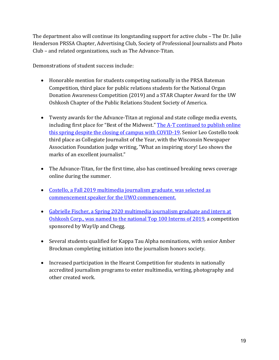The department also will continue its longstanding support for active clubs – The Dr. Julie Henderson PRSSA Chapter, Advertising Club, Society of Professional Journalists and Photo Club – and related organizations, such as The Advance-Titan.

Demonstrations of student success include:

- Honorable mention for students competing nationally in the PRSA Bateman Competition, third place for public relations students for the National Organ Donation Awareness Competition (2019) and a STAR Chapter Award for the UW Oshkosh Chapter of the Public Relations Student Society of America.
- Twenty awards for the Advance-Titan at regional and state college media events, including first place for "Best of the Midwest." The A-T continued to publish online this spring despite the closing of campus with COVID-19. Senior Leo Costello took third place as Collegiate Journalist of the Year, with the Wisconsin Newspaper Association Foundation judge writing, "What an inspiring story! Leo shows the marks of an excellent journalist."
- The Advance-Titan, for the first time, also has continued breaking news coverage online during the summer.
- Costello, a Fall 2019 multimedia journalism graduate, was selected as commencement speaker for the UWO commencement.
- Gabrielle Fischer, a Spring 2020 multimedia journalism graduate and intern at Oshkosh Corp., was named to the national Top 100 Interns of 2019, a competition sponsored by WayUp and Chegg.
- Several students qualified for Kappa Tau Alpha nominations, with senior Amber Brockman completing initiation into the journalism honors society.
- Increased participation in the Hearst Competition for students in nationally accredited journalism programs to enter multimedia, writing, photography and other created work.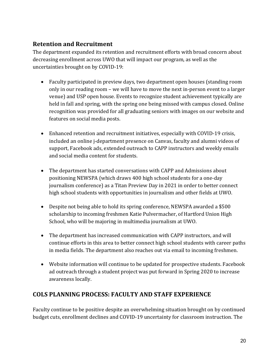# **Retention and Recruitment**

The department expanded its retention and recruitment efforts with broad concern about decreasing enrollment across UWO that will impact our program, as well as the uncertainties brought on by COVID-19:

- Faculty participated in preview days, two department open houses (standing room only in our reading room – we will have to move the next in-person event to a larger venue) and USP open house. Events to recognize student achievement typically are held in fall and spring, with the spring one being missed with campus closed. Online recognition was provided for all graduating seniors with images on our website and features on social media posts.
- Enhanced retention and recruitment initiatives, especially with COVID-19 crisis, included an online j-department presence on Canvas, faculty and alumni videos of support, Facebook ads, extended outreach to CAPP instructors and weekly emails and social media content for students.
- The department has started conversations with CAPP and Admissions about positioning NEWSPA (which draws 400 high school students for a one-day journalism conference) as a Titan Preview Day in 2021 in order to better connect high school students with opportunities in journalism and other fields at UWO.
- Despite not being able to hold its spring conference, NEWSPA awarded a \$500 scholarship to incoming freshmen Katie Pulvermacher, of Hartford Union High School, who will be majoring in multimedia journalism at UWO.
- The department has increased communication with CAPP instructors, and will continue efforts in this area to better connect high school students with career paths in media fields. The department also reaches out via email to incoming freshmen.
- Website information will continue to be updated for prospective students. Facebook ad outreach through a student project was put forward in Spring 2020 to increase awareness locally.

# **COLS PLANNING PROCESS: FACULTY AND STAFF EXPERIENCE**

Faculty continue to be positive despite an overwhelming situation brought on by continued budget cuts, enrollment declines and COVID-19 uncertainty for classroom instruction. The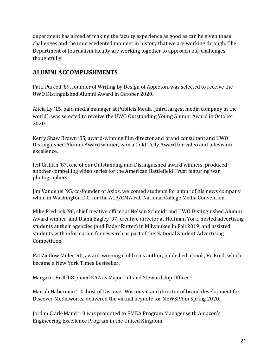department has aimed at making the faculty experience as good as can be given these challenges and the unprecedented moment in history that we are working through. The Department of Journalism faculty are working together to approach our challenges thoughtfully. 

## **ALUMNI ACCOMPLISHMENTS**

Patti Purcell '89, founder of Writing by Design of Appleton, was selected to receive the UWO Distinguished Alumni Award in October 2020.

Alicia Ly '15, paid media manager at Publicis Media (third largest media company in the world), was selected to receive the UWO Outstanding Young Alumni Award in October 2020.

Kerry Shaw Brown '85, award-winning film director and brand consultant and UWO Distinguished Alumni Award winner, won a Gold Telly Award for video and television excellence.

Jeff Griffith '87, one of our Outstanding and Distinguished award winners, produced another compelling video series for the American Battlefield Trust featuring war photographers.

Jim Vandehei '95, co-founder of Axios, welcomed students for a tour of his news company while in Washington D.C. for the ACP/CMA Fall National College Media Convention.

Mike Fredrick '96, chief creative officer at Nelson Schmidt and UWO Distinguished Alumni Award winner, and Diana Bagley '97, creative director at Hoffman York, hosted advertising students at their agencies (and Bader Rutter) in Milwaukee in Fall 2019, and assisted students with information for research as part of the National Student Advertising Competition. 

Pat Zietlow Miller '90, award-winning children's author, published a book, Be Kind, which became a New York Times Bestseller.

Margaret Brill '08 joined EAA as Major Gift and Stewardship Officer.

Mariah Haberman '10, host of Discover Wisconsin and director of brand development for Discover Mediaworks, delivered the virtual keynote for NEWSPA in Spring 2020.

Jordan Clark-Mand '10 was promoted to EMEA Program Manager with Amazon's Engineering Excellence Program in the United Kingdom.